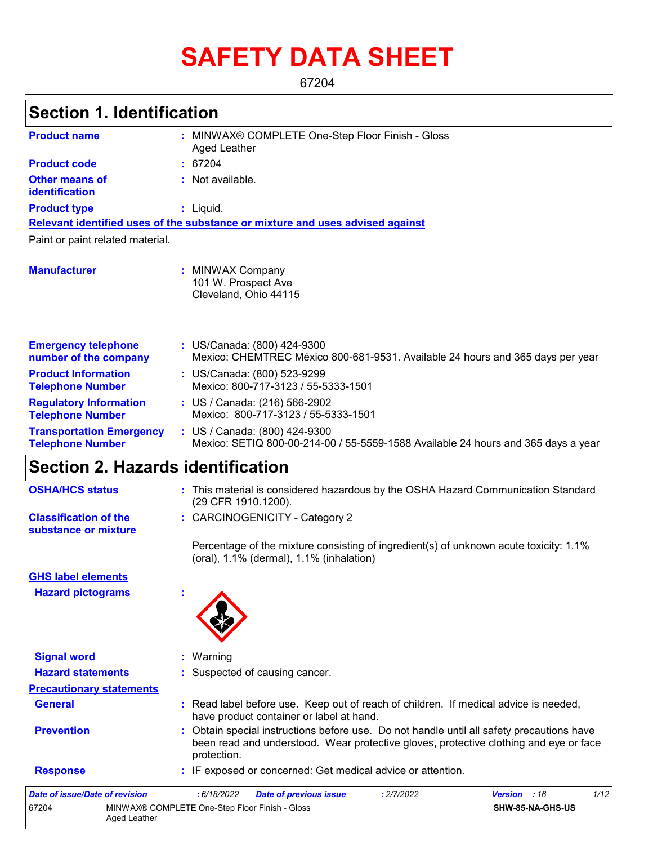# **SAFETY DATA SHEET**

67204

## **Section 1. Identification**

| <b>Product name</b>                                        | MINWAX® COMPLETE One-Step Floor Finish - Gloss<br>Aged Leather                                                     |  |  |  |  |
|------------------------------------------------------------|--------------------------------------------------------------------------------------------------------------------|--|--|--|--|
| <b>Product code</b>                                        | : 67204                                                                                                            |  |  |  |  |
| <b>Other means of</b><br>identification                    | : Not available.                                                                                                   |  |  |  |  |
| <b>Product type</b>                                        | : Liquid.                                                                                                          |  |  |  |  |
|                                                            | Relevant identified uses of the substance or mixture and uses advised against                                      |  |  |  |  |
| Paint or paint related material.                           |                                                                                                                    |  |  |  |  |
| <b>Manufacturer</b>                                        | : MINWAX Company<br>101 W. Prospect Ave<br>Cleveland, Ohio 44115                                                   |  |  |  |  |
| <b>Emergency telephone</b><br>number of the company        | : US/Canada: (800) 424-9300<br>Mexico: CHEMTREC México 800-681-9531. Available 24 hours and 365 days per year      |  |  |  |  |
| <b>Product Information</b><br><b>Telephone Number</b>      | : US/Canada: (800) 523-9299<br>Mexico: 800-717-3123 / 55-5333-1501                                                 |  |  |  |  |
| <b>Regulatory Information</b><br><b>Telephone Number</b>   | : US / Canada: (216) 566-2902<br>Mexico: 800-717-3123 / 55-5333-1501                                               |  |  |  |  |
| <b>Transportation Emergency</b><br><b>Telephone Number</b> | : US / Canada: (800) 424-9300<br>Mexico: SETIQ 800-00-214-00 / 55-5559-1588 Available 24 hours and 365 days a year |  |  |  |  |

## **Section 2. Hazards identification**

Aged Leather

| <b>OSHA/HCS status</b>                               | : This material is considered hazardous by the OSHA Hazard Communication Standard<br>(29 CFR 1910.1200).                                                                                          |
|------------------------------------------------------|---------------------------------------------------------------------------------------------------------------------------------------------------------------------------------------------------|
| <b>Classification of the</b><br>substance or mixture | : CARCINOGENICITY - Category 2                                                                                                                                                                    |
|                                                      | Percentage of the mixture consisting of ingredient(s) of unknown acute toxicity: 1.1%<br>(oral), 1.1% (dermal), 1.1% (inhalation)                                                                 |
| <b>GHS label elements</b>                            |                                                                                                                                                                                                   |
| <b>Hazard pictograms</b>                             |                                                                                                                                                                                                   |
| <b>Signal word</b>                                   | : Warning                                                                                                                                                                                         |
| <b>Hazard statements</b>                             | : Suspected of causing cancer.                                                                                                                                                                    |
| <b>Precautionary statements</b>                      |                                                                                                                                                                                                   |
| <b>General</b>                                       | : Read label before use. Keep out of reach of children. If medical advice is needed,<br>have product container or label at hand.                                                                  |
| <b>Prevention</b>                                    | : Obtain special instructions before use. Do not handle until all safety precautions have<br>been read and understood. Wear protective gloves, protective clothing and eye or face<br>protection. |
| <b>Response</b>                                      | : IF exposed or concerned: Get medical advice or attention.                                                                                                                                       |
| <b>Date of issue/Date of revision</b>                | 1/12<br>: 6/18/2022<br>Version : 16<br><b>Date of previous issue</b><br>: 2/7/2022                                                                                                                |
| 67204                                                | MINWAX® COMPLETE One-Step Floor Finish - Gloss<br>SHW-85-NA-GHS-US                                                                                                                                |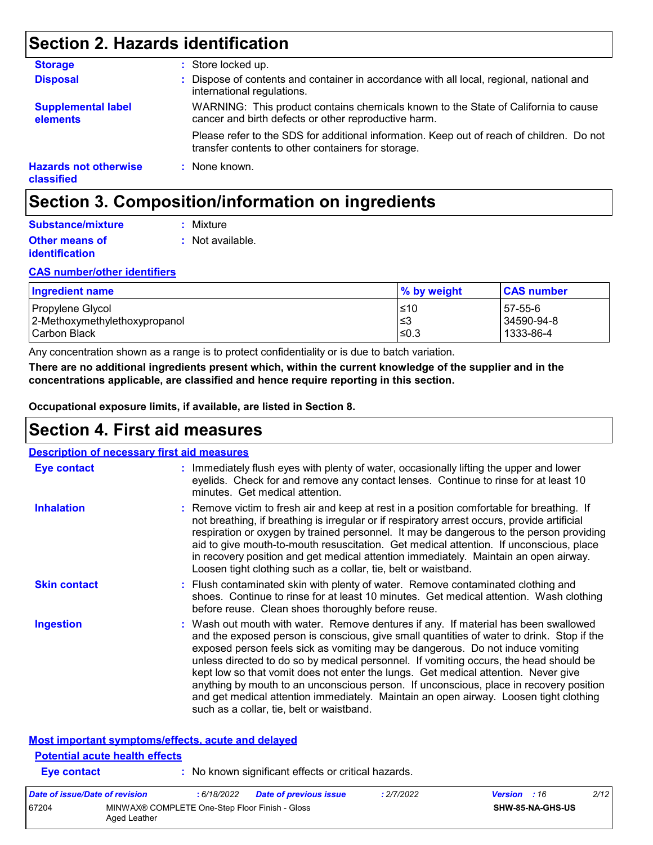## **Section 2. Hazards identification**

| <b>Storage</b>                             | : Store locked up.                                                                                                                              |
|--------------------------------------------|-------------------------------------------------------------------------------------------------------------------------------------------------|
| <b>Disposal</b>                            | : Dispose of contents and container in accordance with all local, regional, national and<br>international regulations.                          |
| <b>Supplemental label</b><br>elements      | WARNING: This product contains chemicals known to the State of California to cause<br>cancer and birth defects or other reproductive harm.      |
|                                            | Please refer to the SDS for additional information. Keep out of reach of children. Do not<br>transfer contents to other containers for storage. |
| <b>Hazards not otherwise</b><br>classified | : None known.                                                                                                                                   |

## **Section 3. Composition/information on ingredients**

| Substance/mixture     | : Mixture        |
|-----------------------|------------------|
| <b>Other means of</b> | : Not available. |
| identification        |                  |

#### **CAS number/other identifiers**

| Ingredient name                                   | % by weight | <b>CAS number</b>     |
|---------------------------------------------------|-------------|-----------------------|
| Propylene Glycol<br>2-Methoxymethylethoxypropanol | ≤10<br>l≤3  | 57-55-6<br>34590-94-8 |
| Carbon Black                                      | ≤0.3        | 1333-86-4             |

Any concentration shown as a range is to protect confidentiality or is due to batch variation.

**Eye contact :** No known significant effects or critical hazards.

**There are no additional ingredients present which, within the current knowledge of the supplier and in the concentrations applicable, are classified and hence require reporting in this section.**

**Occupational exposure limits, if available, are listed in Section 8.**

### **Section 4. First aid measures**

| <b>Description of necessary first aid measures</b> |                                                                                                                                                                                                                                                                                                                                                                                                                                                                                                                                                                                                                                                                                   |
|----------------------------------------------------|-----------------------------------------------------------------------------------------------------------------------------------------------------------------------------------------------------------------------------------------------------------------------------------------------------------------------------------------------------------------------------------------------------------------------------------------------------------------------------------------------------------------------------------------------------------------------------------------------------------------------------------------------------------------------------------|
| <b>Eye contact</b>                                 | : Immediately flush eyes with plenty of water, occasionally lifting the upper and lower<br>eyelids. Check for and remove any contact lenses. Continue to rinse for at least 10<br>minutes. Get medical attention.                                                                                                                                                                                                                                                                                                                                                                                                                                                                 |
| <b>Inhalation</b>                                  | : Remove victim to fresh air and keep at rest in a position comfortable for breathing. If<br>not breathing, if breathing is irregular or if respiratory arrest occurs, provide artificial<br>respiration or oxygen by trained personnel. It may be dangerous to the person providing<br>aid to give mouth-to-mouth resuscitation. Get medical attention. If unconscious, place<br>in recovery position and get medical attention immediately. Maintain an open airway.<br>Loosen tight clothing such as a collar, tie, belt or waistband.                                                                                                                                         |
| <b>Skin contact</b>                                | : Flush contaminated skin with plenty of water. Remove contaminated clothing and<br>shoes. Continue to rinse for at least 10 minutes. Get medical attention. Wash clothing<br>before reuse. Clean shoes thoroughly before reuse.                                                                                                                                                                                                                                                                                                                                                                                                                                                  |
| <b>Ingestion</b>                                   | : Wash out mouth with water. Remove dentures if any. If material has been swallowed<br>and the exposed person is conscious, give small quantities of water to drink. Stop if the<br>exposed person feels sick as vomiting may be dangerous. Do not induce vomiting<br>unless directed to do so by medical personnel. If vomiting occurs, the head should be<br>kept low so that vomit does not enter the lungs. Get medical attention. Never give<br>anything by mouth to an unconscious person. If unconscious, place in recovery position<br>and get medical attention immediately. Maintain an open airway. Loosen tight clothing<br>such as a collar, tie, belt or waistband. |
| <b>Potential acute health effects</b>              | Most important symptoms/effects, acute and delayed                                                                                                                                                                                                                                                                                                                                                                                                                                                                                                                                                                                                                                |

#### *Date of issue/Date of revision* **:** *6/18/2022 Date of previous issue : 2/7/2022 Version : 16 2/12* 67204 MINWAX® COMPLETE One-Step Floor Finish - Gloss Aged Leather **SHW-85-NA-GHS-US**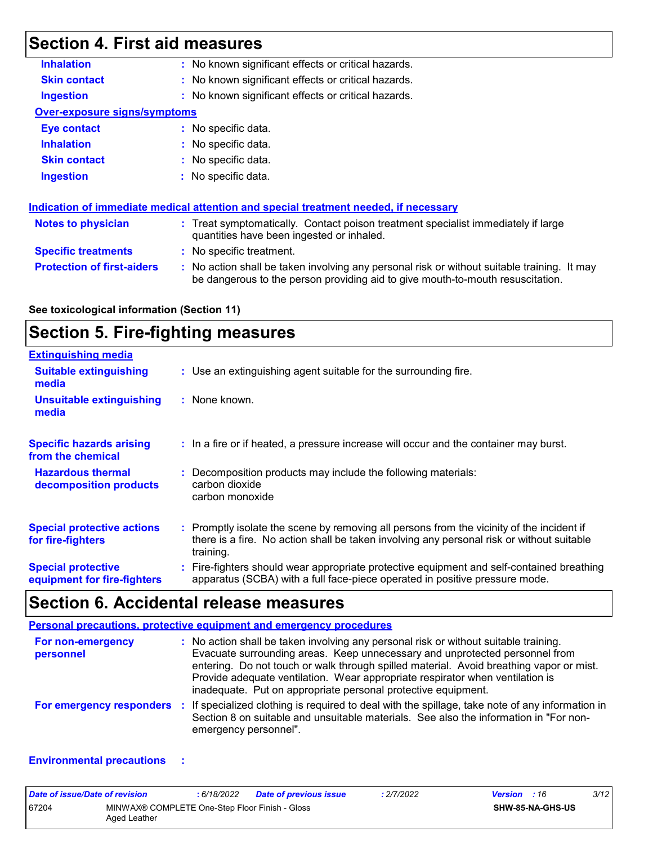## **Section 4. First aid measures**

| <b>Inhalation</b>                   | : No known significant effects or critical hazards.                                                                                                                           |  |  |  |
|-------------------------------------|-------------------------------------------------------------------------------------------------------------------------------------------------------------------------------|--|--|--|
| <b>Skin contact</b>                 | : No known significant effects or critical hazards.                                                                                                                           |  |  |  |
| <b>Ingestion</b>                    | : No known significant effects or critical hazards.                                                                                                                           |  |  |  |
| <b>Over-exposure signs/symptoms</b> |                                                                                                                                                                               |  |  |  |
| Eye contact                         | : No specific data.                                                                                                                                                           |  |  |  |
| <b>Inhalation</b>                   | : No specific data.                                                                                                                                                           |  |  |  |
| <b>Skin contact</b>                 | $:$ No specific data.                                                                                                                                                         |  |  |  |
| <b>Ingestion</b>                    | $\therefore$ No specific data.                                                                                                                                                |  |  |  |
|                                     | Indication of immediate medical attention and special treatment needed, if necessary                                                                                          |  |  |  |
| <b>Notes to physician</b>           | : Treat symptomatically. Contact poison treatment specialist immediately if large<br>quantities have been ingested or inhaled.                                                |  |  |  |
| <b>Specific treatments</b>          | : No specific treatment.                                                                                                                                                      |  |  |  |
| <b>Protection of first-aiders</b>   | : No action shall be taken involving any personal risk or without suitable training. It may<br>be dangerous to the person providing aid to give mouth-to-mouth resuscitation. |  |  |  |
|                                     |                                                                                                                                                                               |  |  |  |

## **Section 5. Fire-fighting measures**

| <b>Extinguishing media</b>                               |                                                                                                                                                                                                     |
|----------------------------------------------------------|-----------------------------------------------------------------------------------------------------------------------------------------------------------------------------------------------------|
| <b>Suitable extinguishing</b><br>media                   | : Use an extinguishing agent suitable for the surrounding fire.                                                                                                                                     |
| <b>Unsuitable extinguishing</b><br>media                 | : None known.                                                                                                                                                                                       |
| <b>Specific hazards arising</b><br>from the chemical     | : In a fire or if heated, a pressure increase will occur and the container may burst.                                                                                                               |
| <b>Hazardous thermal</b><br>decomposition products       | Decomposition products may include the following materials:<br>carbon dioxide<br>carbon monoxide                                                                                                    |
| <b>Special protective actions</b><br>for fire-fighters   | : Promptly isolate the scene by removing all persons from the vicinity of the incident if<br>there is a fire. No action shall be taken involving any personal risk or without suitable<br>training. |
| <b>Special protective</b><br>equipment for fire-fighters | : Fire-fighters should wear appropriate protective equipment and self-contained breathing<br>apparatus (SCBA) with a full face-piece operated in positive pressure mode.                            |

## **Section 6. Accidental release measures**

| <b>Personal precautions, protective equipment and emergency procedures</b> |                                                                                                                                                                                                                                                                                                                                                                                                                  |  |  |  |
|----------------------------------------------------------------------------|------------------------------------------------------------------------------------------------------------------------------------------------------------------------------------------------------------------------------------------------------------------------------------------------------------------------------------------------------------------------------------------------------------------|--|--|--|
| For non-emergency<br>personnel                                             | : No action shall be taken involving any personal risk or without suitable training.<br>Evacuate surrounding areas. Keep unnecessary and unprotected personnel from<br>entering. Do not touch or walk through spilled material. Avoid breathing vapor or mist.<br>Provide adequate ventilation. Wear appropriate respirator when ventilation is<br>inadequate. Put on appropriate personal protective equipment. |  |  |  |
| For emergency responders                                                   | : If specialized clothing is required to deal with the spillage, take note of any information in<br>Section 8 on suitable and unsuitable materials. See also the information in "For non-<br>emergency personnel".                                                                                                                                                                                               |  |  |  |

#### **Environmental precautions :**

| Date of issue/Date of revision |                                                                | : 6/18/2022 | <b>Date of previous issue</b> | : 2/7/2022 | <b>Version</b> : 16 |                         | 3/12 |
|--------------------------------|----------------------------------------------------------------|-------------|-------------------------------|------------|---------------------|-------------------------|------|
| 67204                          | MINWAX® COMPLETE One-Step Floor Finish - Gloss<br>Aged Leather |             |                               |            |                     | <b>SHW-85-NA-GHS-US</b> |      |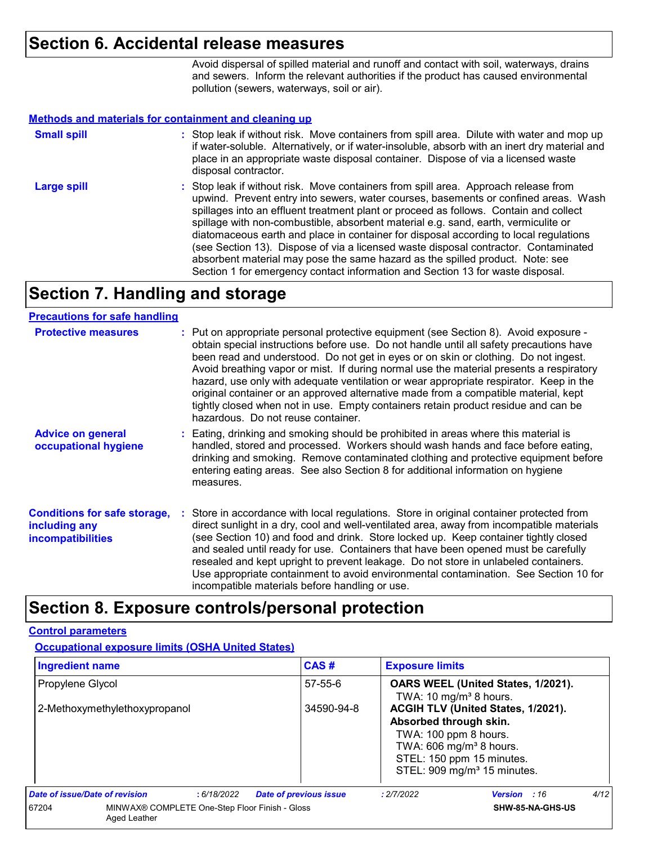### **Section 6. Accidental release measures**

Avoid dispersal of spilled material and runoff and contact with soil, waterways, drains and sewers. Inform the relevant authorities if the product has caused environmental pollution (sewers, waterways, soil or air).

#### **Methods and materials for containment and cleaning up**

| <b>Small spill</b> | : Stop leak if without risk. Move containers from spill area. Dilute with water and mop up<br>if water-soluble. Alternatively, or if water-insoluble, absorb with an inert dry material and<br>place in an appropriate waste disposal container. Dispose of via a licensed waste<br>disposal contractor.                                                                                                                                                                                                                                                                                                                                                                                                     |
|--------------------|--------------------------------------------------------------------------------------------------------------------------------------------------------------------------------------------------------------------------------------------------------------------------------------------------------------------------------------------------------------------------------------------------------------------------------------------------------------------------------------------------------------------------------------------------------------------------------------------------------------------------------------------------------------------------------------------------------------|
| <b>Large spill</b> | : Stop leak if without risk. Move containers from spill area. Approach release from<br>upwind. Prevent entry into sewers, water courses, basements or confined areas. Wash<br>spillages into an effluent treatment plant or proceed as follows. Contain and collect<br>spillage with non-combustible, absorbent material e.g. sand, earth, vermiculite or<br>diatomaceous earth and place in container for disposal according to local regulations<br>(see Section 13). Dispose of via a licensed waste disposal contractor. Contaminated<br>absorbent material may pose the same hazard as the spilled product. Note: see<br>Section 1 for emergency contact information and Section 13 for waste disposal. |

## **Section 7. Handling and storage**

#### **Precautions for safe handling**

| <b>Protective measures</b>                                                       | : Put on appropriate personal protective equipment (see Section 8). Avoid exposure -<br>obtain special instructions before use. Do not handle until all safety precautions have<br>been read and understood. Do not get in eyes or on skin or clothing. Do not ingest.<br>Avoid breathing vapor or mist. If during normal use the material presents a respiratory<br>hazard, use only with adequate ventilation or wear appropriate respirator. Keep in the<br>original container or an approved alternative made from a compatible material, kept<br>tightly closed when not in use. Empty containers retain product residue and can be<br>hazardous. Do not reuse container. |
|----------------------------------------------------------------------------------|--------------------------------------------------------------------------------------------------------------------------------------------------------------------------------------------------------------------------------------------------------------------------------------------------------------------------------------------------------------------------------------------------------------------------------------------------------------------------------------------------------------------------------------------------------------------------------------------------------------------------------------------------------------------------------|
| <b>Advice on general</b><br>occupational hygiene                                 | : Eating, drinking and smoking should be prohibited in areas where this material is<br>handled, stored and processed. Workers should wash hands and face before eating,<br>drinking and smoking. Remove contaminated clothing and protective equipment before<br>entering eating areas. See also Section 8 for additional information on hygiene<br>measures.                                                                                                                                                                                                                                                                                                                  |
| <b>Conditions for safe storage,</b><br>including any<br><b>incompatibilities</b> | : Store in accordance with local regulations. Store in original container protected from<br>direct sunlight in a dry, cool and well-ventilated area, away from incompatible materials<br>(see Section 10) and food and drink. Store locked up. Keep container tightly closed<br>and sealed until ready for use. Containers that have been opened must be carefully<br>resealed and kept upright to prevent leakage. Do not store in unlabeled containers.<br>Use appropriate containment to avoid environmental contamination. See Section 10 for<br>incompatible materials before handling or use.                                                                            |

### **Section 8. Exposure controls/personal protection**

#### **Control parameters**

**Occupational exposure limits (OSHA United States)**

| <b>Ingredient name</b>                            |                                                                |            | CAS#                          | <b>Exposure limits</b>                                                                                                                                                                               |                  |      |
|---------------------------------------------------|----------------------------------------------------------------|------------|-------------------------------|------------------------------------------------------------------------------------------------------------------------------------------------------------------------------------------------------|------------------|------|
| Propylene Glycol<br>2-Methoxymethylethoxypropanol |                                                                |            | $57 - 55 - 6$                 | OARS WEEL (United States, 1/2021).<br>TWA: 10 mg/m <sup>3</sup> 8 hours.                                                                                                                             |                  |      |
|                                                   |                                                                |            | 34590-94-8                    | ACGIH TLV (United States, 1/2021).<br>Absorbed through skin.<br>TWA: 100 ppm 8 hours.<br>TWA: 606 mg/m <sup>3</sup> 8 hours.<br>STEL: 150 ppm 15 minutes.<br>STEL: 909 mg/m <sup>3</sup> 15 minutes. |                  |      |
| Date of issue/Date of revision                    |                                                                | :6/18/2022 | <b>Date of previous issue</b> | : 2/7/2022                                                                                                                                                                                           | Version : 16     | 4/12 |
| 67204                                             | MINWAX® COMPLETE One-Step Floor Finish - Gloss<br>Aged Leather |            |                               |                                                                                                                                                                                                      | SHW-85-NA-GHS-US |      |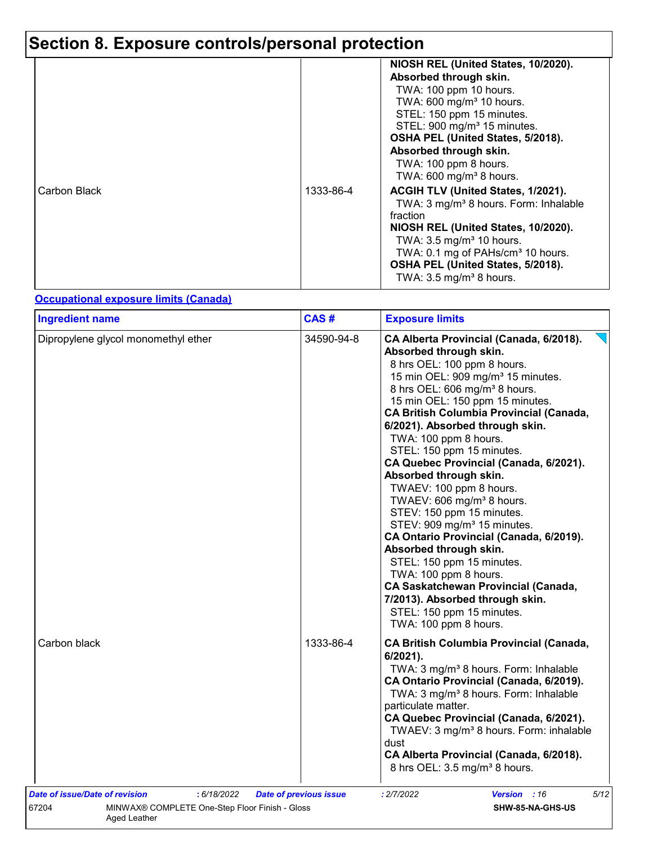# **Section 8. Exposure controls/personal protection**

|              |           | NIOSH REL (United States, 10/2020).<br>Absorbed through skin.<br>TWA: 100 ppm 10 hours.<br>TWA: 600 mg/m <sup>3</sup> 10 hours.<br>STEL: 150 ppm 15 minutes.<br>STEL: 900 mg/m <sup>3</sup> 15 minutes.<br>OSHA PEL (United States, 5/2018).<br>Absorbed through skin.                                        |
|--------------|-----------|---------------------------------------------------------------------------------------------------------------------------------------------------------------------------------------------------------------------------------------------------------------------------------------------------------------|
|              |           | TWA: 100 ppm 8 hours.<br>TWA: $600 \text{ mg/m}^3$ 8 hours.                                                                                                                                                                                                                                                   |
| Carbon Black | 1333-86-4 | ACGIH TLV (United States, 1/2021).<br>TWA: 3 mg/m <sup>3</sup> 8 hours. Form: Inhalable<br>fraction<br>NIOSH REL (United States, 10/2020).<br>TWA: $3.5 \text{ mg/m}^3$ 10 hours.<br>TWA: 0.1 mg of PAHs/cm <sup>3</sup> 10 hours.<br>OSHA PEL (United States, 5/2018).<br>TWA: $3.5 \text{ mg/m}^3$ 8 hours. |

### **Occupational exposure limits (Canada)**

| <b>Ingredient name</b>              | CAS#       | <b>Exposure limits</b>                                                                                                                                                                                                                                                                                                                                                                                                                                                                                                                                                                                                                                                                                                                                                                                                                                         |
|-------------------------------------|------------|----------------------------------------------------------------------------------------------------------------------------------------------------------------------------------------------------------------------------------------------------------------------------------------------------------------------------------------------------------------------------------------------------------------------------------------------------------------------------------------------------------------------------------------------------------------------------------------------------------------------------------------------------------------------------------------------------------------------------------------------------------------------------------------------------------------------------------------------------------------|
| Dipropylene glycol monomethyl ether | 34590-94-8 | CA Alberta Provincial (Canada, 6/2018).<br>Absorbed through skin.<br>8 hrs OEL: 100 ppm 8 hours.<br>15 min OEL: 909 mg/m <sup>3</sup> 15 minutes.<br>8 hrs OEL: 606 mg/m <sup>3</sup> 8 hours.<br>15 min OEL: 150 ppm 15 minutes.<br><b>CA British Columbia Provincial (Canada,</b><br>6/2021). Absorbed through skin.<br>TWA: 100 ppm 8 hours.<br>STEL: 150 ppm 15 minutes.<br>CA Quebec Provincial (Canada, 6/2021).<br>Absorbed through skin.<br>TWAEV: 100 ppm 8 hours.<br>TWAEV: 606 mg/m <sup>3</sup> 8 hours.<br>STEV: 150 ppm 15 minutes.<br>STEV: 909 mg/m <sup>3</sup> 15 minutes.<br>CA Ontario Provincial (Canada, 6/2019).<br>Absorbed through skin.<br>STEL: 150 ppm 15 minutes.<br>TWA: 100 ppm 8 hours.<br><b>CA Saskatchewan Provincial (Canada,</b><br>7/2013). Absorbed through skin.<br>STEL: 150 ppm 15 minutes.<br>TWA: 100 ppm 8 hours. |
| Carbon black                        | 1333-86-4  | <b>CA British Columbia Provincial (Canada,</b><br>6/2021).<br>TWA: 3 mg/m <sup>3</sup> 8 hours. Form: Inhalable<br>CA Ontario Provincial (Canada, 6/2019).<br>TWA: 3 mg/m <sup>3</sup> 8 hours. Form: Inhalable<br>particulate matter.<br>CA Quebec Provincial (Canada, 6/2021).<br>TWAEV: 3 mg/m <sup>3</sup> 8 hours. Form: inhalable<br>dust<br>CA Alberta Provincial (Canada, 6/2018).<br>8 hrs OEL: 3.5 mg/m <sup>3</sup> 8 hours.                                                                                                                                                                                                                                                                                                                                                                                                                        |
|                                     |            |                                                                                                                                                                                                                                                                                                                                                                                                                                                                                                                                                                                                                                                                                                                                                                                                                                                                |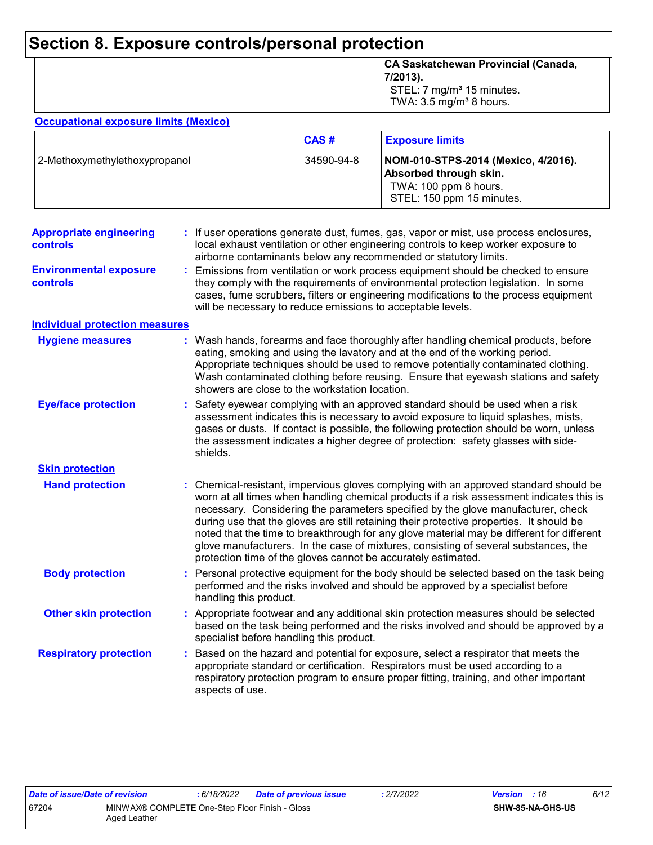## **Section 8. Exposure controls/personal protection**

|  | CA Saskatchewan Provincial (Canada,<br>$7/2013$ .<br>STEL: 7 $mg/m3$ 15 minutes.<br>TWA: $3.5 \text{ mg/m}^3$ 8 hours. |
|--|------------------------------------------------------------------------------------------------------------------------|
|--|------------------------------------------------------------------------------------------------------------------------|

#### **Occupational exposure limits (Mexico)**

|                               | <b>CAS#</b> | <b>Exposure limits</b>                                                                                              |
|-------------------------------|-------------|---------------------------------------------------------------------------------------------------------------------|
| 2-Methoxymethylethoxypropanol | 34590-94-8  | NOM-010-STPS-2014 (Mexico, 4/2016).<br>Absorbed through skin.<br>TWA: 100 ppm 8 hours.<br>STEL: 150 ppm 15 minutes. |

| <b>Appropriate engineering</b><br>controls |    | If user operations generate dust, fumes, gas, vapor or mist, use process enclosures,<br>local exhaust ventilation or other engineering controls to keep worker exposure to<br>airborne contaminants below any recommended or statutory limits.                                                                                                                                                                                                                                                                                                                                                                       |
|--------------------------------------------|----|----------------------------------------------------------------------------------------------------------------------------------------------------------------------------------------------------------------------------------------------------------------------------------------------------------------------------------------------------------------------------------------------------------------------------------------------------------------------------------------------------------------------------------------------------------------------------------------------------------------------|
| <b>Environmental exposure</b><br>controls  |    | Emissions from ventilation or work process equipment should be checked to ensure<br>they comply with the requirements of environmental protection legislation. In some<br>cases, fume scrubbers, filters or engineering modifications to the process equipment<br>will be necessary to reduce emissions to acceptable levels.                                                                                                                                                                                                                                                                                        |
| <b>Individual protection measures</b>      |    |                                                                                                                                                                                                                                                                                                                                                                                                                                                                                                                                                                                                                      |
| <b>Hygiene measures</b>                    |    | Wash hands, forearms and face thoroughly after handling chemical products, before<br>eating, smoking and using the lavatory and at the end of the working period.<br>Appropriate techniques should be used to remove potentially contaminated clothing.<br>Wash contaminated clothing before reusing. Ensure that eyewash stations and safety<br>showers are close to the workstation location.                                                                                                                                                                                                                      |
| <b>Eye/face protection</b>                 |    | Safety eyewear complying with an approved standard should be used when a risk<br>assessment indicates this is necessary to avoid exposure to liquid splashes, mists,<br>gases or dusts. If contact is possible, the following protection should be worn, unless<br>the assessment indicates a higher degree of protection: safety glasses with side-<br>shields.                                                                                                                                                                                                                                                     |
| <b>Skin protection</b>                     |    |                                                                                                                                                                                                                                                                                                                                                                                                                                                                                                                                                                                                                      |
| <b>Hand protection</b>                     |    | Chemical-resistant, impervious gloves complying with an approved standard should be<br>worn at all times when handling chemical products if a risk assessment indicates this is<br>necessary. Considering the parameters specified by the glove manufacturer, check<br>during use that the gloves are still retaining their protective properties. It should be<br>noted that the time to breakthrough for any glove material may be different for different<br>glove manufacturers. In the case of mixtures, consisting of several substances, the<br>protection time of the gloves cannot be accurately estimated. |
| <b>Body protection</b>                     |    | Personal protective equipment for the body should be selected based on the task being<br>performed and the risks involved and should be approved by a specialist before<br>handling this product.                                                                                                                                                                                                                                                                                                                                                                                                                    |
| <b>Other skin protection</b>               |    | Appropriate footwear and any additional skin protection measures should be selected<br>based on the task being performed and the risks involved and should be approved by a<br>specialist before handling this product.                                                                                                                                                                                                                                                                                                                                                                                              |
| <b>Respiratory protection</b>              | ÷. | Based on the hazard and potential for exposure, select a respirator that meets the<br>appropriate standard or certification. Respirators must be used according to a<br>respiratory protection program to ensure proper fitting, training, and other important<br>aspects of use.                                                                                                                                                                                                                                                                                                                                    |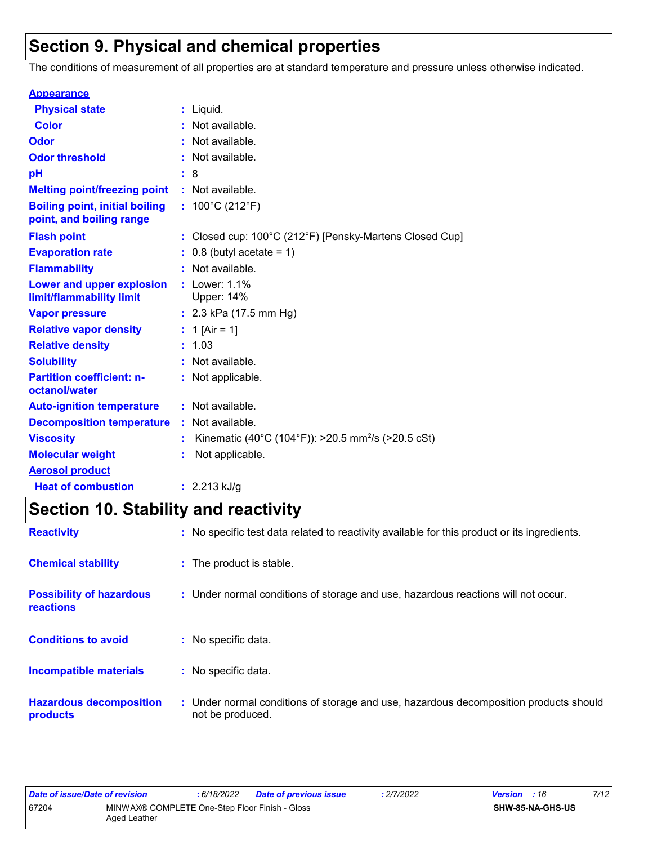## **Section 9. Physical and chemical properties**

The conditions of measurement of all properties are at standard temperature and pressure unless otherwise indicated.

| <b>Appearance</b>                                                 |    |                                                                |
|-------------------------------------------------------------------|----|----------------------------------------------------------------|
| <b>Physical state</b>                                             |    | $:$ Liquid.                                                    |
| <b>Color</b>                                                      |    | Not available.                                                 |
| Odor                                                              |    | Not available.                                                 |
| <b>Odor threshold</b>                                             |    | Not available.                                                 |
| рH                                                                |    | : 8                                                            |
| <b>Melting point/freezing point</b>                               |    | : Not available.                                               |
| <b>Boiling point, initial boiling</b><br>point, and boiling range |    | : $100^{\circ}$ C (212 $^{\circ}$ F)                           |
| <b>Flash point</b>                                                |    | : Closed cup: 100°C (212°F) [Pensky-Martens Closed Cup]        |
| <b>Evaporation rate</b>                                           |    | $0.8$ (butyl acetate = 1)                                      |
| <b>Flammability</b>                                               |    | Not available.                                                 |
| Lower and upper explosion<br>limit/flammability limit             |    | $:$ Lower: 1.1%<br>Upper: 14%                                  |
| <b>Vapor pressure</b>                                             |    | : $2.3$ kPa (17.5 mm Hg)                                       |
| <b>Relative vapor density</b>                                     |    | : 1 [Air = 1]                                                  |
| <b>Relative density</b>                                           |    | : 1.03                                                         |
| <b>Solubility</b>                                                 | t. | Not available.                                                 |
| <b>Partition coefficient: n-</b><br>octanol/water                 |    | : Not applicable.                                              |
| <b>Auto-ignition temperature</b>                                  |    | : Not available.                                               |
| <b>Decomposition temperature</b>                                  |    | : Not available.                                               |
| <b>Viscosity</b>                                                  |    | Kinematic (40°C (104°F)): >20.5 mm <sup>2</sup> /s (>20.5 cSt) |
| <b>Molecular weight</b>                                           |    | Not applicable.                                                |
| <b>Aerosol product</b>                                            |    |                                                                |
| <b>Heat of combustion</b>                                         |    | : $2.213$ kJ/g                                                 |

## **Section 10. Stability and reactivity**

| <b>Reactivity</b>                                   | : No specific test data related to reactivity available for this product or its ingredients.              |
|-----------------------------------------------------|-----------------------------------------------------------------------------------------------------------|
| <b>Chemical stability</b>                           | : The product is stable.                                                                                  |
| <b>Possibility of hazardous</b><br><b>reactions</b> | : Under normal conditions of storage and use, hazardous reactions will not occur.                         |
| <b>Conditions to avoid</b>                          | : No specific data.                                                                                       |
| <b>Incompatible materials</b>                       | : No specific data.                                                                                       |
| <b>Hazardous decomposition</b><br>products          | : Under normal conditions of storage and use, hazardous decomposition products should<br>not be produced. |

| Date of issue/Date of revision                                          |  | 6/18/2022 | <b>Date of previous issue</b> | : 2/7/2022 | <b>Version</b> : 16     |  | 7/12 |
|-------------------------------------------------------------------------|--|-----------|-------------------------------|------------|-------------------------|--|------|
| 67204<br>MINWAX® COMPLETE One-Step Floor Finish - Gloss<br>Aged Leather |  |           |                               |            | <b>SHW-85-NA-GHS-US</b> |  |      |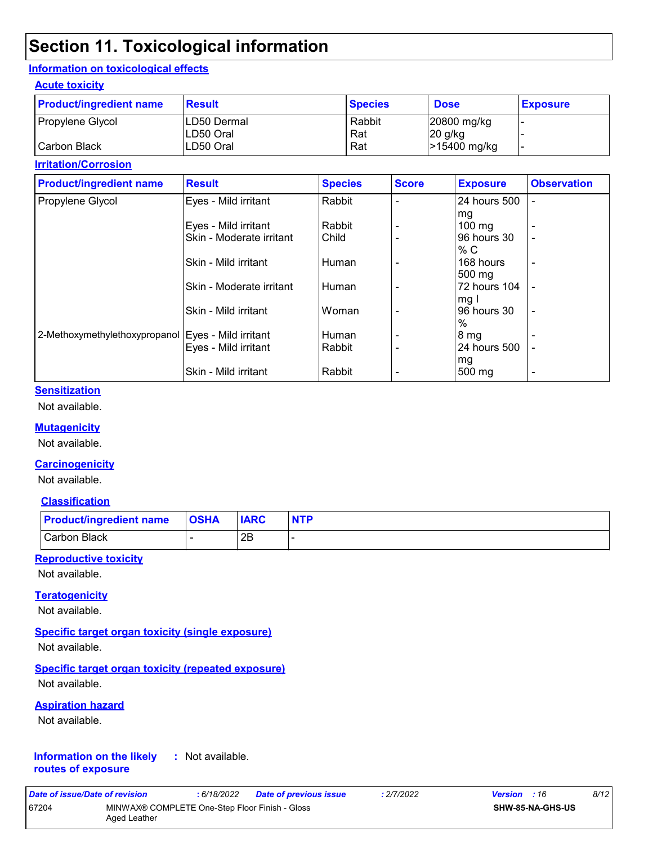## **Section 11. Toxicological information**

#### **Information on toxicological effects**

#### **Acute toxicity**

| <b>Product/ingredient name</b> | <b>Result</b> | <b>Species</b> | <b>Dose</b>  | <b>Exposure</b>          |
|--------------------------------|---------------|----------------|--------------|--------------------------|
| Propylene Glycol               | ILD50 Dermal  | Rabbit         | 20800 mg/kg  |                          |
|                                | ILD50 Oral    | Rat            | 20 g/kg      |                          |
| Carbon Black                   | LD50 Oral     | Rat            | >15400 mg/kg | $\overline{\phantom{0}}$ |

#### **Irritation/Corrosion**

| <b>Product/ingredient name</b>                       | <b>Result</b>            | <b>Species</b> | <b>Score</b> | <b>Exposure</b>   | <b>Observation</b> |
|------------------------------------------------------|--------------------------|----------------|--------------|-------------------|--------------------|
| Propylene Glycol                                     | Eyes - Mild irritant     | Rabbit         |              | 24 hours 500      |                    |
|                                                      |                          |                |              | mg                |                    |
|                                                      | Eyes - Mild irritant     | Rabbit         |              | $100 \text{ mg}$  |                    |
|                                                      | Skin - Moderate irritant | Child          |              | 96 hours 30       |                    |
|                                                      |                          |                |              | % C               |                    |
|                                                      | Skin - Mild irritant     | Human          |              | 168 hours         | ٠                  |
|                                                      |                          |                |              | 500 mg            |                    |
|                                                      | Skin - Moderate irritant | Human          | ۰            | 72 hours 104      |                    |
|                                                      |                          |                |              | mg I              |                    |
|                                                      | Skin - Mild irritant     | Woman          |              | 96 hours 30       | ٠                  |
|                                                      |                          |                |              | $\%$              |                    |
| 2-Methoxymethylethoxypropanol   Eyes - Mild irritant |                          | Human          |              | <sub>1</sub> 8 mg |                    |
|                                                      | Eyes - Mild irritant     | Rabbit         |              | 24 hours 500      |                    |
|                                                      |                          |                |              | mg                |                    |
|                                                      | Skin - Mild irritant     | Rabbit         |              | 500 mg            |                    |

#### **Sensitization**

Not available.

#### **Mutagenicity**

Not available.

#### **Carcinogenicity**

Not available.

#### **Classification**

| <b>Product/ingredient name OSHA</b> | <b>IARC</b> | <b>NTP</b> |
|-------------------------------------|-------------|------------|
| Carbon Black                        | 2E          |            |

#### **Reproductive toxicity**

Not available.

#### **Teratogenicity**

Not available.

#### **Specific target organ toxicity (single exposure)**

Not available.

#### **Specific target organ toxicity (repeated exposure)**

Not available.

#### **Aspiration hazard**

Not available.

#### **Information on the likely routes of exposure :** Not available.

| Date of issue/Date of revision |                                                                | : 6/18/2022 | <b>Date of previous issue</b> | : 2/7/2022 | <b>Version</b> : 16 |                         | 8/12 |
|--------------------------------|----------------------------------------------------------------|-------------|-------------------------------|------------|---------------------|-------------------------|------|
| 67204                          | MINWAX® COMPLETE One-Step Floor Finish - Gloss<br>Aged Leather |             |                               |            |                     | <b>SHW-85-NA-GHS-US</b> |      |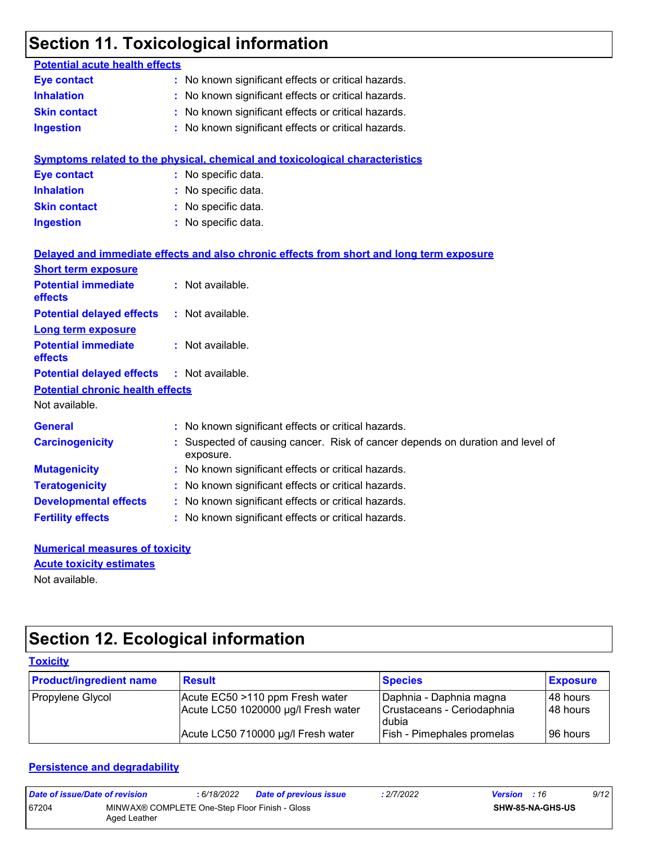## **Section 11. Toxicological information**

| <b>Potential acute health effects</b>   |                                                                                           |
|-----------------------------------------|-------------------------------------------------------------------------------------------|
| <b>Eye contact</b>                      | : No known significant effects or critical hazards.                                       |
| <b>Inhalation</b>                       | No known significant effects or critical hazards.                                         |
| <b>Skin contact</b>                     | : No known significant effects or critical hazards.                                       |
| <b>Ingestion</b>                        | : No known significant effects or critical hazards.                                       |
|                                         | <b>Symptoms related to the physical, chemical and toxicological characteristics</b>       |
| <b>Eye contact</b>                      | : No specific data.                                                                       |
| <b>Inhalation</b>                       | : No specific data.                                                                       |
| <b>Skin contact</b>                     | : No specific data.                                                                       |
| <b>Ingestion</b>                        | : No specific data.                                                                       |
|                                         | Delayed and immediate effects and also chronic effects from short and long term exposure  |
| <b>Short term exposure</b>              |                                                                                           |
| <b>Potential immediate</b><br>effects   | : Not available.                                                                          |
| <b>Potential delayed effects</b>        | : Not available.                                                                          |
| <b>Long term exposure</b>               |                                                                                           |
| <b>Potential immediate</b><br>effects   | : Not available.                                                                          |
| <b>Potential delayed effects</b>        | : Not available.                                                                          |
| <b>Potential chronic health effects</b> |                                                                                           |
| Not available.                          |                                                                                           |
| <b>General</b>                          | : No known significant effects or critical hazards.                                       |
| <b>Carcinogenicity</b>                  | Suspected of causing cancer. Risk of cancer depends on duration and level of<br>exposure. |
| <b>Mutagenicity</b>                     | : No known significant effects or critical hazards.                                       |
| <b>Teratogenicity</b>                   | : No known significant effects or critical hazards.                                       |
| <b>Developmental effects</b>            | : No known significant effects or critical hazards.                                       |
| <b>Fertility effects</b>                | : No known significant effects or critical hazards.                                       |
|                                         |                                                                                           |

| <b>Numerical measures of toxicity</b> |  |  |  |  |
|---------------------------------------|--|--|--|--|
| <b>Acute toxicity estimates</b>       |  |  |  |  |
| Not available.                        |  |  |  |  |

## **Section 12. Ecological information**

#### **Toxicity** Propylene Glycol **Acute EC50 >110 ppm Fresh water** Daphnia - Daphnia magna 48 hours<br>Acute LC50 1020000 µg/l Fresh water Crustaceans - Ceriodaphnia 48 hours Acute LC50 1020000 µg/l Fresh water dubia<br>Fish - Pimephales promelas 48 hours Acute LC50 710000 µg/l Fresh water  $\vert$  Fish - Pimephales promelas  $\vert$  96 hours **Product/ingredient name** Result **Result Result Species Exposure**

#### **Persistence and degradability**

| Date of issue/Date of revision |                                                                | : 6/18/2022 | Date of previous issue | .2/7/2022 | <b>Version</b> : 16 |                         | 9/12 |
|--------------------------------|----------------------------------------------------------------|-------------|------------------------|-----------|---------------------|-------------------------|------|
| 67204                          | MINWAX® COMPLETE One-Step Floor Finish - Gloss<br>Aged Leather |             |                        |           |                     | <b>SHW-85-NA-GHS-US</b> |      |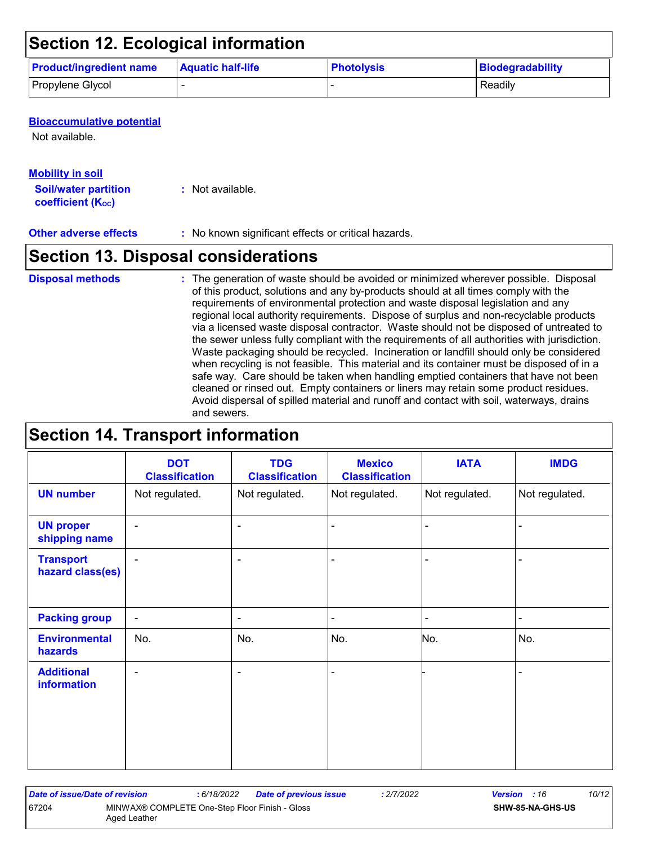## **Section 12. Ecological information**

| <b>Product/ingredient name</b> | <b>Aquatic half-life</b> | <b>Photolysis</b> | Biodegradability |
|--------------------------------|--------------------------|-------------------|------------------|
| Propylene Glycol               |                          |                   | Readily          |

#### **Bioaccumulative potential**

Not available.

### **Mobility in soil**

**Soil/water partition coefficient (Koc) :** Not available.

**Other adverse effects :** No known significant effects or critical hazards.

## **Section 13. Disposal considerations**

The generation of waste should be avoided or minimized wherever possible. Disposal of this product, solutions and any by-products should at all times comply with the requirements of environmental protection and waste disposal legislation and any regional local authority requirements. Dispose of surplus and non-recyclable products via a licensed waste disposal contractor. Waste should not be disposed of untreated to the sewer unless fully compliant with the requirements of all authorities with jurisdiction. Waste packaging should be recycled. Incineration or landfill should only be considered when recycling is not feasible. This material and its container must be disposed of in a safe way. Care should be taken when handling emptied containers that have not been cleaned or rinsed out. Empty containers or liners may retain some product residues. Avoid dispersal of spilled material and runoff and contact with soil, waterways, drains and sewers. **Disposal methods :**

## **Section 14. Transport information**

|                                         | <b>DOT</b><br><b>Classification</b> | <b>TDG</b><br><b>Classification</b> | <b>Mexico</b><br><b>Classification</b> | <b>IATA</b>    | <b>IMDG</b>    |
|-----------------------------------------|-------------------------------------|-------------------------------------|----------------------------------------|----------------|----------------|
| <b>UN number</b>                        | Not regulated.                      | Not regulated.                      | Not regulated.                         | Not regulated. | Not regulated. |
| <b>UN proper</b><br>shipping name       | $\blacksquare$                      | ۰                                   | $\blacksquare$                         |                |                |
| <b>Transport</b><br>hazard class(es)    | $\overline{\phantom{a}}$            | ۰                                   |                                        |                |                |
| <b>Packing group</b>                    | $\sim$                              | ۰                                   | $\blacksquare$                         |                | $\blacksquare$ |
| <b>Environmental</b><br>hazards         | No.                                 | No.                                 | No.                                    | No.            | No.            |
| <b>Additional</b><br><b>information</b> | $\blacksquare$                      | ۰                                   | $\blacksquare$                         |                |                |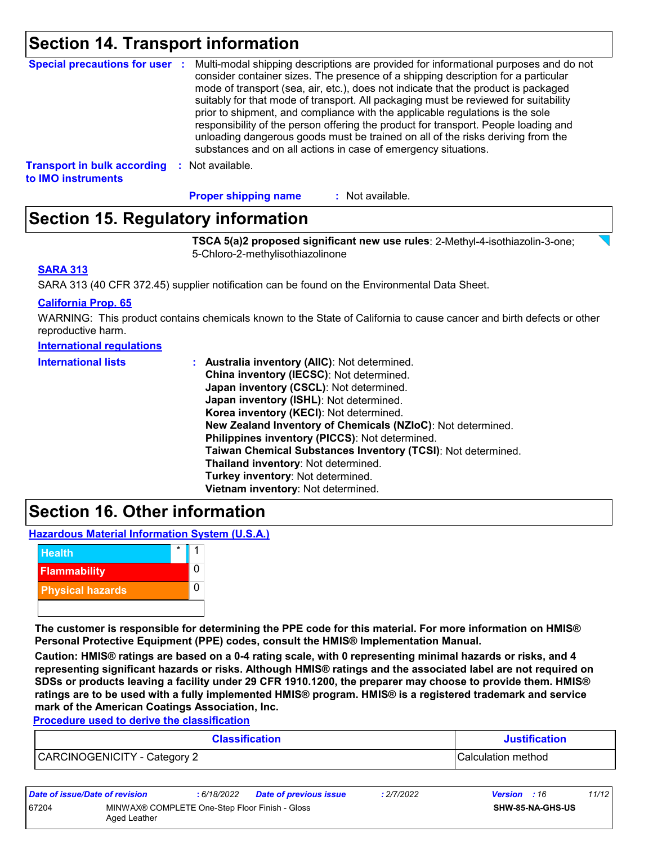## **Section 14. Transport information**

| <b>Special precautions for user :</b> | Multi-modal shipping descriptions are provided for informational purposes and do not<br>consider container sizes. The presence of a shipping description for a particular<br>mode of transport (sea, air, etc.), does not indicate that the product is packaged<br>suitably for that mode of transport. All packaging must be reviewed for suitability<br>prior to shipment, and compliance with the applicable regulations is the sole<br>responsibility of the person offering the product for transport. People loading and<br>unloading dangerous goods must be trained on all of the risks deriving from the<br>substances and on all actions in case of emergency situations. |
|---------------------------------------|-------------------------------------------------------------------------------------------------------------------------------------------------------------------------------------------------------------------------------------------------------------------------------------------------------------------------------------------------------------------------------------------------------------------------------------------------------------------------------------------------------------------------------------------------------------------------------------------------------------------------------------------------------------------------------------|
| <b>Transport in bulk according</b>    | Not available.                                                                                                                                                                                                                                                                                                                                                                                                                                                                                                                                                                                                                                                                      |
| to IMO instruments                    | -9                                                                                                                                                                                                                                                                                                                                                                                                                                                                                                                                                                                                                                                                                  |

: Not available. **Proper shipping name :**

## **Section 15. Regulatory information**

**TSCA 5(a)2 proposed significant new use rules**: 2-Methyl-4-isothiazolin-3-one; 5-Chloro-2-methylisothiazolinone

#### **SARA 313**

SARA 313 (40 CFR 372.45) supplier notification can be found on the Environmental Data Sheet.

#### **California Prop. 65**

WARNING: This product contains chemicals known to the State of California to cause cancer and birth defects or other reproductive harm.

#### **International regulations**

| <b>International lists</b> | : Australia inventory (AIIC): Not determined.                |
|----------------------------|--------------------------------------------------------------|
|                            | China inventory (IECSC): Not determined.                     |
|                            | Japan inventory (CSCL): Not determined.                      |
|                            | Japan inventory (ISHL): Not determined.                      |
|                            | Korea inventory (KECI): Not determined.                      |
|                            | New Zealand Inventory of Chemicals (NZIoC): Not determined.  |
|                            | Philippines inventory (PICCS): Not determined.               |
|                            | Taiwan Chemical Substances Inventory (TCSI): Not determined. |
|                            | Thailand inventory: Not determined.                          |
|                            | Turkey inventory: Not determined.                            |
|                            | Vietnam inventory: Not determined.                           |

### **Section 16. Other information**

**Hazardous Material Information System (U.S.A.)**



**The customer is responsible for determining the PPE code for this material. For more information on HMIS® Personal Protective Equipment (PPE) codes, consult the HMIS® Implementation Manual.**

**Caution: HMIS® ratings are based on a 0-4 rating scale, with 0 representing minimal hazards or risks, and 4 representing significant hazards or risks. Although HMIS® ratings and the associated label are not required on SDSs or products leaving a facility under 29 CFR 1910.1200, the preparer may choose to provide them. HMIS® ratings are to be used with a fully implemented HMIS® program. HMIS® is a registered trademark and service mark of the American Coatings Association, Inc.**

**Procedure used to derive the classification**

| <b>Classification</b>        | <b>Justification</b> |  |
|------------------------------|----------------------|--|
| CARCINOGENICITY - Category 2 | Calculation method   |  |

| Date of issue/Date of revision |                                                                | : 6/18/2022 | <b>Date of previous issue</b> | : 2/7/2022 | <b>Version</b> : 16 |                         | 11/12 |
|--------------------------------|----------------------------------------------------------------|-------------|-------------------------------|------------|---------------------|-------------------------|-------|
| 67204                          | MINWAX® COMPLETE One-Step Floor Finish - Gloss<br>Aged Leather |             |                               |            |                     | <b>SHW-85-NA-GHS-US</b> |       |